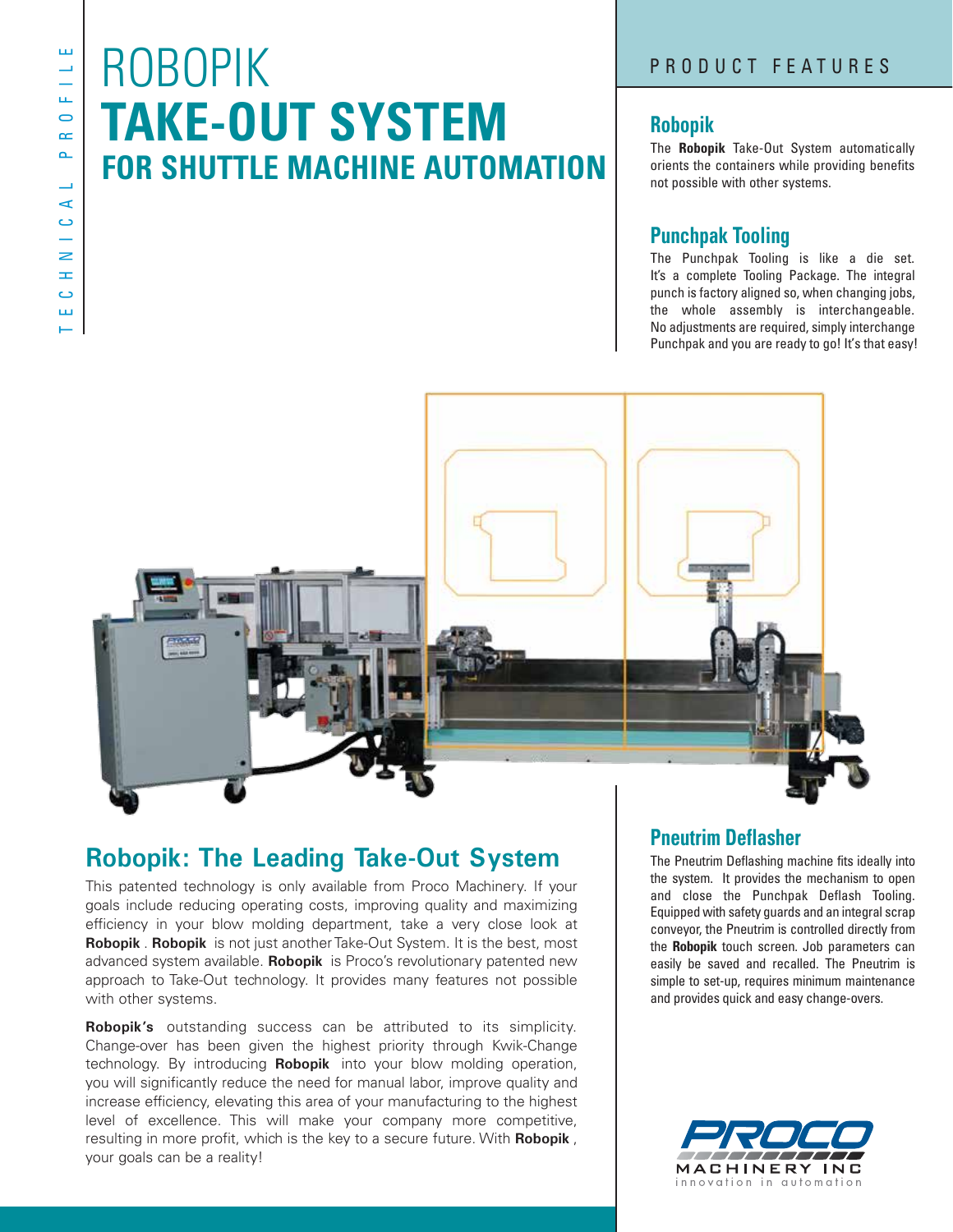## ROBOPIK **TAKE-OUT SYSTEM FOR SHUTTLE MACHINE AUTOMATION**

### **Robopik**

The **Robopik** Take-Out System automatically orients the containers while providing benefits not possible with other systems.

### **Punchpak Tooling**

The Punchpak Tooling is like a die set. It's a complete Tooling Package. The integral punch is factory aligned so, when changing jobs, the whole assembly is interchangeable. No adjustments are required, simply interchange Punchpak and you are ready to go! It's that easy!



## **Robopik: The Leading Take-Out System**

This patented technology is only available from Proco Machinery. If your goals include reducing operating costs, improving quality and maximizing efficiency in your blow molding department, take a very close look at **Robopik** . **Robopik** is not just another Take-Out System. It is the best, most advanced system available. **Robopik** is Proco's revolutionary patented new approach to Take-Out technology. It provides many features not possible with other systems.

**Robopik's** outstanding success can be attributed to its simplicity. Change-over has been given the highest priority through Kwik-Change technology. By introducing **Robopik** into your blow molding operation, you will significantly reduce the need for manual labor, improve quality and increase efficiency, elevating this area of your manufacturing to the highest level of excellence. This will make your company more competitive, resulting in more profit, which is the key to a secure future. With **Robopik** , your goals can be a reality!

## **Pneutrim Deflasher**

The Pneutrim Deflashing machine fits ideally into the system. It provides the mechanism to open and close the Punchpak Deflash Tooling. Equipped with safety guards and an integral scrap conveyor, the Pneutrim is controlled directly from the **Robopik** touch screen. Job parameters can easily be saved and recalled. The Pneutrim is simple to set-up, requires minimum maintenance and provides quick and easy change-overs.